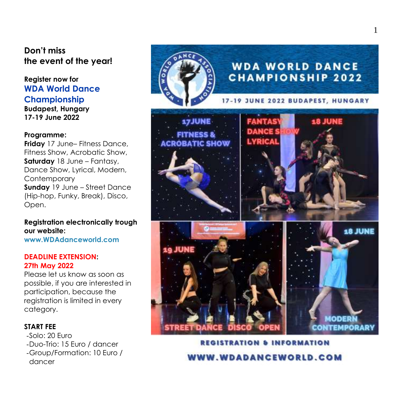## **Don't miss the event of the year!**

# **Register now for WDA World Dance Championship**

**Budapest, Hungary 17-19 June 2022**

#### **Programme :**

**Friday** 17 June – Fitness Dance, Fitness Show, Acrobatic Show, **Saturday** 18 June – Fantasy , Dance Show, Lyrical, Modern, Contemporary **Sunday** 19 June – Street Dance (Hip -hop, Funky, Break), Disco, Open.

### **Registration electronically trough our website:**

**[www.WDAdanceworld.com](http://www.wdadanceworld.com/)**

#### **DEADLINE EXTENSION : 2 7th May 20 2 2**

Please let us know as soon as possible , if you are interested in participation, because the registration is limited in every category.

#### **START FEE**

-Solo: 20 Euro -Duo-Trio: 15 Euro / dancer -Group/Formation: 10 Euro / dancer



**REGISTRATION & INFORMATION WW.WDADANCEWORLD.COM**